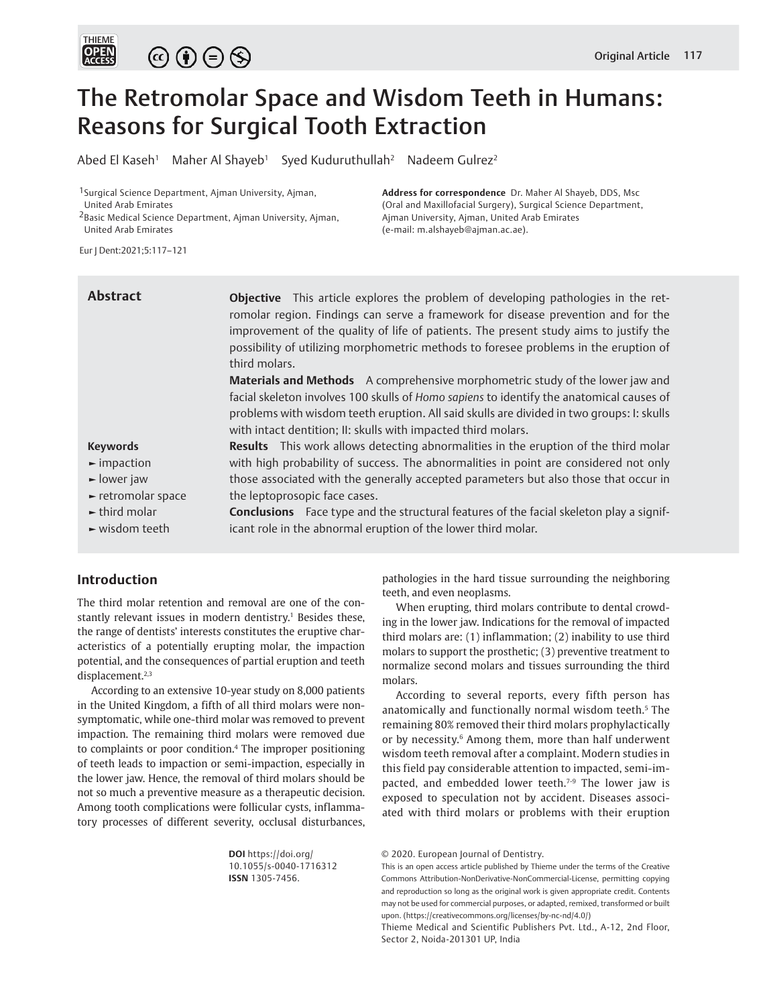

# The Retromolar Space and Wisdom Teeth in Humans: Reasons for Surgical Tooth Extraction

Abed El Kaseh<sup>1</sup> Maher Al Shayeb<sup>1</sup> Syed Kuduruthullah<sup>2</sup> Nadeem Gulrez<sup>2</sup>

**Address for correspondence** Dr. Maher Al Shayeb, DDS, Msc (Oral and Maxillofacial Surgery), Surgical Science Department,

Ajman University, Ajman, United Arab Emirates

<sup>1</sup>Surgical Science Department, Ajman University, Ajman, United Arab Emirates

2Basic Medical Science Department, Ajman University, Ajman, United Arab Emirates

Eur J Dent:2021;5:117–121

# **Abstract**

**Objective** This article explores the problem of developing pathologies in the retromolar region. Findings can serve a framework for disease prevention and for the improvement of the quality of life of patients. The present study aims to justify the possibility of utilizing morphometric methods to foresee problems in the eruption of third molars.

(e-mail: m.alshayeb@ajman.ac.ae).

**Materials and Methods** A comprehensive morphometric study of the lower jaw and facial skeleton involves 100 skulls of *Homo sapiens* to identify the anatomical causes of problems with wisdom teeth eruption. All said skulls are divided in two groups: I: skulls with intact dentition; II: skulls with impacted third molars.

**Results** This work allows detecting abnormalities in the eruption of the third molar with high probability of success. The abnormalities in point are considered not only

#### **Keywords**

- **►** impaction
- **►** lower jaw
- **►** retromolar space
- **►** third molar
- **►** wisdom teeth

those associated with the generally accepted parameters but also those that occur in the leptoprosopic face cases. **Conclusions** Face type and the structural features of the facial skeleton play a signif-

icant role in the abnormal eruption of the lower third molar.

# **Introduction**

The third molar retention and removal are one of the constantly relevant issues in modern dentistry.<sup>1</sup> Besides these, the range of dentists' interests constitutes the eruptive characteristics of a potentially erupting molar, the impaction potential, and the consequences of partial eruption and teeth displacement.<sup>2,3</sup>

According to an extensive 10-year study on 8,000 patients in the United Kingdom, a fifth of all third molars were nonsymptomatic, while one-third molar was removed to prevent impaction. The remaining third molars were removed due to complaints or poor condition.<sup>4</sup> The improper positioning of teeth leads to impaction or semi-impaction, especially in the lower jaw. Hence, the removal of third molars should be not so much a preventive measure as a therapeutic decision. Among tooth complications were follicular cysts, inflammatory processes of different severity, occlusal disturbances,

> **DOI** https://doi.org/ 10.1055/s-0040-1716312 **ISSN** 1305-7456.

pathologies in the hard tissue surrounding the neighboring teeth, and even neoplasms.

When erupting, third molars contribute to dental crowding in the lower jaw. Indications for the removal of impacted third molars are: (1) inflammation; (2) inability to use third molars to support the prosthetic; (3) preventive treatment to normalize second molars and tissues surrounding the third molars.

According to several reports, every fifth person has anatomically and functionally normal wisdom teeth.<sup>5</sup> The remaining 80% removed their third molars prophylactically or by necessity.<sup>6</sup> Among them, more than half underwent wisdom teeth removal after a complaint. Modern studies in this field pay considerable attention to impacted, semi-impacted, and embedded lower teeth.<sup>7-9</sup> The lower jaw is exposed to speculation not by accident. Diseases associated with third molars or problems with their eruption

Thieme Medical and Scientific Publishers Pvt. Ltd., A-12, 2nd Floor, Sector 2, Noida-201301 UP, India

<sup>© 2020.</sup> European Journal of Dentistry.

This is an open access article published by Thieme under the terms of the Creative Commons Attribution-NonDerivative-NonCommercial-License, permitting copying and reproduction so long as the original work is given appropriate credit. Contents may not be used for commercial purposes, or adapted, remixed, transformed or built upon. (https://creativecommons.org/licenses/by-nc-nd/4.0/)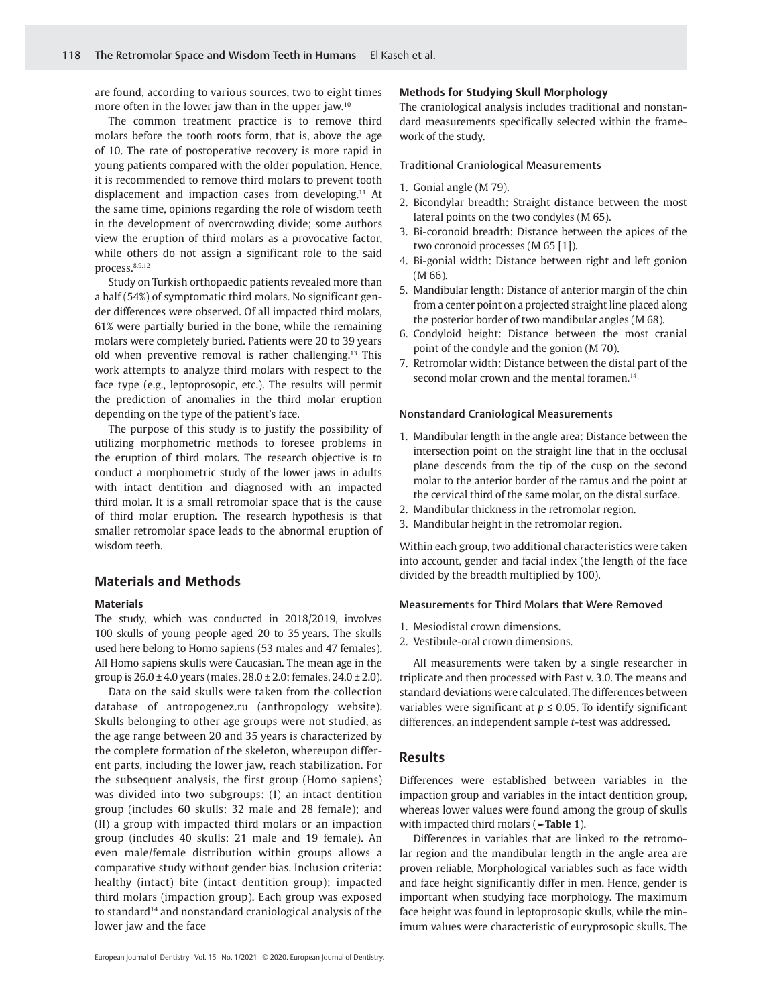are found, according to various sources, two to eight times more often in the lower jaw than in the upper jaw.<sup>10</sup>

The common treatment practice is to remove third molars before the tooth roots form, that is, above the age of 10. The rate of postoperative recovery is more rapid in young patients compared with the older population. Hence, it is recommended to remove third molars to prevent tooth displacement and impaction cases from developing.<sup>11</sup> At the same time, opinions regarding the role of wisdom teeth in the development of overcrowding divide; some authors view the eruption of third molars as a provocative factor, while others do not assign a significant role to the said process.8,9,12

Study on Turkish orthopaedic patients revealed more than a half (54%) of symptomatic third molars. No significant gender differences were observed. Of all impacted third molars, 61% were partially buried in the bone, while the remaining molars were completely buried. Patients were 20 to 39 years old when preventive removal is rather challenging.<sup>13</sup> This work attempts to analyze third molars with respect to the face type (e.g., leptoprosopic, etc.). The results will permit the prediction of anomalies in the third molar eruption depending on the type of the patient's face.

The purpose of this study is to justify the possibility of utilizing morphometric methods to foresee problems in the eruption of third molars. The research objective is to conduct a morphometric study of the lower jaws in adults with intact dentition and diagnosed with an impacted third molar. It is a small retromolar space that is the cause of third molar eruption. The research hypothesis is that smaller retromolar space leads to the abnormal eruption of wisdom teeth.

# **Materials and Methods**

#### **Materials**

The study, which was conducted in 2018/2019, involves 100 skulls of young people aged 20 to 35 years. The skulls used here belong to Homo sapiens (53 males and 47 females). All Homo sapiens skulls were Caucasian. The mean age in the group is  $26.0 \pm 4.0$  years (males,  $28.0 \pm 2.0$ ; females,  $24.0 \pm 2.0$ ).

Data on the said skulls were taken from the collection database of antropogenez.ru (anthropology website). Skulls belonging to other age groups were not studied, as the age range between 20 and 35 years is characterized by the complete formation of the skeleton, whereupon different parts, including the lower jaw, reach stabilization. For the subsequent analysis, the first group (Homo sapiens) was divided into two subgroups: (I) an intact dentition group (includes 60 skulls: 32 male and 28 female); and (II) a group with impacted third molars or an impaction group (includes 40 skulls: 21 male and 19 female). An even male/female distribution within groups allows a comparative study without gender bias. Inclusion criteria: healthy (intact) bite (intact dentition group); impacted third molars (impaction group). Each group was exposed to standard<sup>14</sup> and nonstandard craniological analysis of the lower jaw and the face

#### **Methods for Studying Skull Morphology**

The craniological analysis includes traditional and nonstandard measurements specifically selected within the framework of the study.

#### Traditional Craniological Measurements

- 1. Gonial angle (M 79).
- 2. Bicondylar breadth: Straight distance between the most lateral points on the two condyles (M 65).
- 3. Bi-coronoid breadth: Distance between the apices of the two coronoid processes (M 65 [1]).
- 4. Bi-gonial width: Distance between right and left gonion (M 66).
- 5. Mandibular length: Distance of anterior margin of the chin from a center point on a projected straight line placed along the posterior border of two mandibular angles (M 68).
- 6. Condyloid height: Distance between the most cranial point of the condyle and the gonion (M 70).
- 7. Retromolar width: Distance between the distal part of the second molar crown and the mental foramen.<sup>14</sup>

#### Nonstandard Craniological Measurements

- 1. Mandibular length in the angle area: Distance between the intersection point on the straight line that in the occlusal plane descends from the tip of the cusp on the second molar to the anterior border of the ramus and the point at the cervical third of the same molar, on the distal surface.
- 2. Mandibular thickness in the retromolar region.
- 3. Mandibular height in the retromolar region.

Within each group, two additional characteristics were taken into account, gender and facial index (the length of the face divided by the breadth multiplied by 100).

#### Measurements for Third Molars that Were Removed

- 1. Mesiodistal crown dimensions.
- 2. Vestibule-oral crown dimensions.

All measurements were taken by a single researcher in triplicate and then processed with Past v. 3.0. The means and standard deviations were calculated. The differences between variables were significant at  $p \leq 0.05$ . To identify significant differences, an independent sample *t*-test was addressed.

#### **Results**

Differences were established between variables in the impaction group and variables in the intact dentition group, whereas lower values were found among the group of skulls with impacted third molars (**►Table 1**).

Differences in variables that are linked to the retromolar region and the mandibular length in the angle area are proven reliable. Morphological variables such as face width and face height significantly differ in men. Hence, gender is important when studying face morphology. The maximum face height was found in leptoprosopic skulls, while the minimum values were characteristic of euryprosopic skulls. The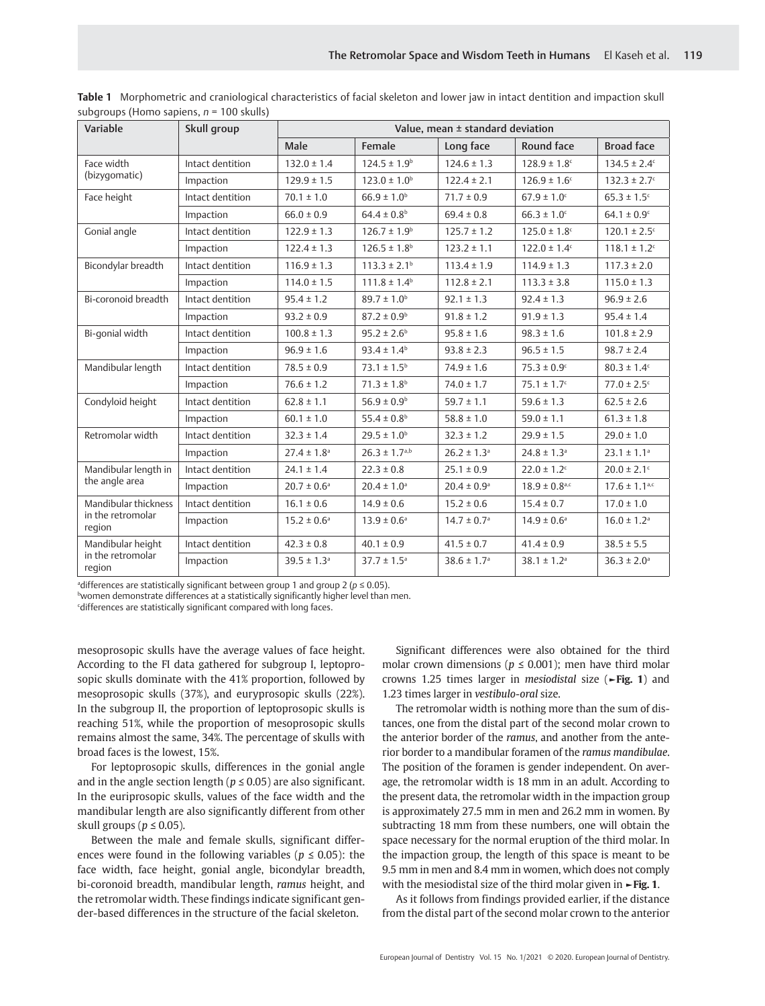| Variable                                            | Skull group      | Value, mean ± standard deviation |                              |                             |                               |                              |
|-----------------------------------------------------|------------------|----------------------------------|------------------------------|-----------------------------|-------------------------------|------------------------------|
|                                                     |                  | Male                             | Female                       | Long face                   | Round face                    | <b>Broad face</b>            |
| Face width<br>(bizyqomatic)                         | Intact dentition | $132.0 \pm 1.4$                  | $124.5 \pm 1.9^b$            | $124.6 \pm 1.3$             | $128.9 \pm 1.8$ <sup>c</sup>  | $134.5 \pm 2.4^c$            |
|                                                     | Impaction        | $129.9 \pm 1.5$                  | $123.0 \pm 1.0^{\circ}$      | $122.4 \pm 2.1$             | $126.9 \pm 1.6$ <sup>c</sup>  | $132.3 \pm 2.7$ <sup>c</sup> |
| Face height                                         | Intact dentition | $70.1 \pm 1.0$                   | $66.9 \pm 1.0^{\rm b}$       | $71.7 \pm 0.9$              | $67.9 \pm 1.0$                | $65.3 \pm 1.5$ <sup>c</sup>  |
|                                                     | Impaction        | $66.0 \pm 0.9$                   | $64.4 \pm 0.8$ <sup>b</sup>  | $69.4 \pm 0.8$              | $66.3 \pm 1.0^{\circ}$        | $64.1 \pm 0.9$ <sup>c</sup>  |
| Gonial angle                                        | Intact dentition | $122.9 \pm 1.3$                  | $126.7 \pm 1.9^b$            | $125.7 \pm 1.2$             | $125.0 \pm 1.8$ c             | $120.1 \pm 2.5$ <sup>c</sup> |
|                                                     | Impaction        | $122.4 \pm 1.3$                  | $126.5 \pm 1.8^{\circ}$      | $123.2 \pm 1.1$             | $122.0 \pm 1.4$ <sup>c</sup>  | $118.1 \pm 1.2$ <sup>c</sup> |
| Bicondylar breadth                                  | Intact dentition | $116.9 \pm 1.3$                  | $113.3 \pm 2.1$ <sup>b</sup> | $113.4 \pm 1.9$             | $114.9 \pm 1.3$               | $117.3 \pm 2.0$              |
|                                                     | Impaction        | $114.0 \pm 1.5$                  | $111.8 \pm 1.4^b$            | $112.8 \pm 2.1$             | $113.3 \pm 3.8$               | $115.0 \pm 1.3$              |
| Bi-coronoid breadth                                 | Intact dentition | $95.4 \pm 1.2$                   | $89.7 \pm 1.0^{\rm b}$       | $92.1 \pm 1.3$              | $92.4 \pm 1.3$                | $96.9 \pm 2.6$               |
|                                                     | Impaction        | $93.2 \pm 0.9$                   | $87.2 \pm 0.9^{\rm b}$       | $91.8 \pm 1.2$              | $91.9 \pm 1.3$                | $95.4 \pm 1.4$               |
| Bi-gonial width                                     | Intact dentition | $100.8 \pm 1.3$                  | $95.2 \pm 2.6^{\circ}$       | $95.8 \pm 1.6$              | $98.3 \pm 1.6$                | $101.8 \pm 2.9$              |
|                                                     | Impaction        | $96.9 \pm 1.6$                   | $93.4 \pm 1.4^b$             | $93.8 \pm 2.3$              | $96.5 \pm 1.5$                | $98.7 \pm 2.4$               |
| Mandibular length                                   | Intact dentition | $78.5 \pm 0.9$                   | $73.1 \pm 1.5^{\circ}$       | $74.9 \pm 1.6$              | $75.3 \pm 0.9$ <sup>c</sup>   | $80.3 \pm 1.4$ <sup>c</sup>  |
|                                                     | Impaction        | $76.6 \pm 1.2$                   | $71.3 \pm 1.8$ <sup>b</sup>  | $74.0 \pm 1.7$              | $75.1 \pm 1.7$ <sup>c</sup>   | $77.0 \pm 2.5$ °             |
| Condyloid height                                    | Intact dentition | $62.8 \pm 1.1$                   | $56.9 \pm 0.9$ <sup>b</sup>  | $59.7 \pm 1.1$              | $59.6 \pm 1.3$                | $62.5 \pm 2.6$               |
|                                                     | Impaction        | $60.1 \pm 1.0$                   | 55.4 ± $0.8^{\rm b}$         | $58.8 \pm 1.0$              | $59.0 \pm 1.1$                | $61.3 \pm 1.8$               |
| Retromolar width                                    | Intact dentition | $32.3 \pm 1.4$                   | $29.5 \pm 1.0^{\rm b}$       | $32.3 \pm 1.2$              | $29.9 \pm 1.5$                | $29.0 \pm 1.0$               |
|                                                     | Impaction        | $27.4 \pm 1.8$ <sup>a</sup>      | $26.3 \pm 1.7^{a,b}$         | $26.2 \pm 1.3$ <sup>a</sup> | $24.8 \pm 1.3$ <sup>a</sup>   | $23.1 \pm 1.1$ <sup>a</sup>  |
| Mandibular length in<br>the angle area              | Intact dentition | $24.1 \pm 1.4$                   | $22.3 \pm 0.8$               | $25.1 \pm 0.9$              | $22.0 \pm 1.2$ c              | $20.0 \pm 2.1$ <sup>c</sup>  |
|                                                     | Impaction        | $20.7 \pm 0.6$ <sup>a</sup>      | $20.4 \pm 1.0$ <sup>a</sup>  | $20.4 \pm 0.9$ <sup>a</sup> | $18.9 \pm 0.8$ <sub>a,c</sub> | $17.6 \pm 1.1^{a,c}$         |
| Mandibular thickness<br>in the retromolar<br>region | Intact dentition | $16.1 \pm 0.6$                   | $14.9 \pm 0.6$               | $15.2 \pm 0.6$              | $15.4 \pm 0.7$                | $17.0 \pm 1.0$               |
|                                                     | Impaction        | $15.2 \pm 0.6^{\circ}$           | $13.9 \pm 0.6^{\circ}$       | $14.7 \pm 0.7$ <sup>a</sup> | $14.9 \pm 0.6^{\circ}$        | $16.0 \pm 1.2$ <sup>a</sup>  |
| Mandibular height<br>in the retromolar<br>region    | Intact dentition | $42.3 \pm 0.8$                   | $40.1 \pm 0.9$               | $41.5 \pm 0.7$              | $41.4 \pm 0.9$                | $38.5 \pm 5.5$               |
|                                                     | Impaction        | $39.5 \pm 1.3$ <sup>a</sup>      | $37.7 \pm 1.5$ <sup>a</sup>  | $38.6 \pm 1.7$ <sup>a</sup> | $38.1 \pm 1.2$ <sup>a</sup>   | $36.3 \pm 2.0$ <sup>a</sup>  |

**Table 1** Morphometric and craniological characteristics of facial skeleton and lower jaw in intact dentition and impaction skull subgroups (Homo sapiens, *n* = 100 skulls)

adifferences are statistically significant between group 1 and group 2 (*p* ≤ 0.05).

bwomen demonstrate differences at a statistically significantly higher level than men.

cdifferences are statistically significant compared with long faces.

mesoprosopic skulls have the average values of face height. According to the FI data gathered for subgroup I, leptoprosopic skulls dominate with the 41% proportion, followed by mesoprosopic skulls (37%), and euryprosopic skulls (22%). In the subgroup II, the proportion of leptoprosopic skulls is reaching 51%, while the proportion of mesoprosopic skulls remains almost the same, 34%. The percentage of skulls with broad faces is the lowest, 15%.

For leptoprosopic skulls, differences in the gonial angle and in the angle section length ( $p \le 0.05$ ) are also significant. In the euriprosopic skulls, values of the face width and the mandibular length are also significantly different from other skull groups ( $p \le 0.05$ ).

Between the male and female skulls, significant differences were found in the following variables ( $p \leq 0.05$ ): the face width, face height, gonial angle, bicondylar breadth, bi-coronoid breadth, mandibular length, *ramus* height, and the retromolar width. These findings indicate significant gender-based differences in the structure of the facial skeleton.

Significant differences were also obtained for the third molar crown dimensions ( $p \leq 0.001$ ); men have third molar crowns 1.25 times larger in *mesiodistal* size (**►Fig. 1**) and 1.23 times larger in *vestibulo-oral* size.

The retromolar width is nothing more than the sum of distances, one from the distal part of the second molar crown to the anterior border of the *ramus*, and another from the anterior border to a mandibular foramen of the *ramus mandibulae*. The position of the foramen is gender independent. On average, the retromolar width is 18 mm in an adult. According to the present data, the retromolar width in the impaction group is approximately 27.5 mm in men and 26.2 mm in women. By subtracting 18 mm from these numbers, one will obtain the space necessary for the normal eruption of the third molar. In the impaction group, the length of this space is meant to be 9.5 mm in men and 8.4 mm in women, which does not comply with the mesiodistal size of the third molar given in **►Fig. 1**.

As it follows from findings provided earlier, if the distance from the distal part of the second molar crown to the anterior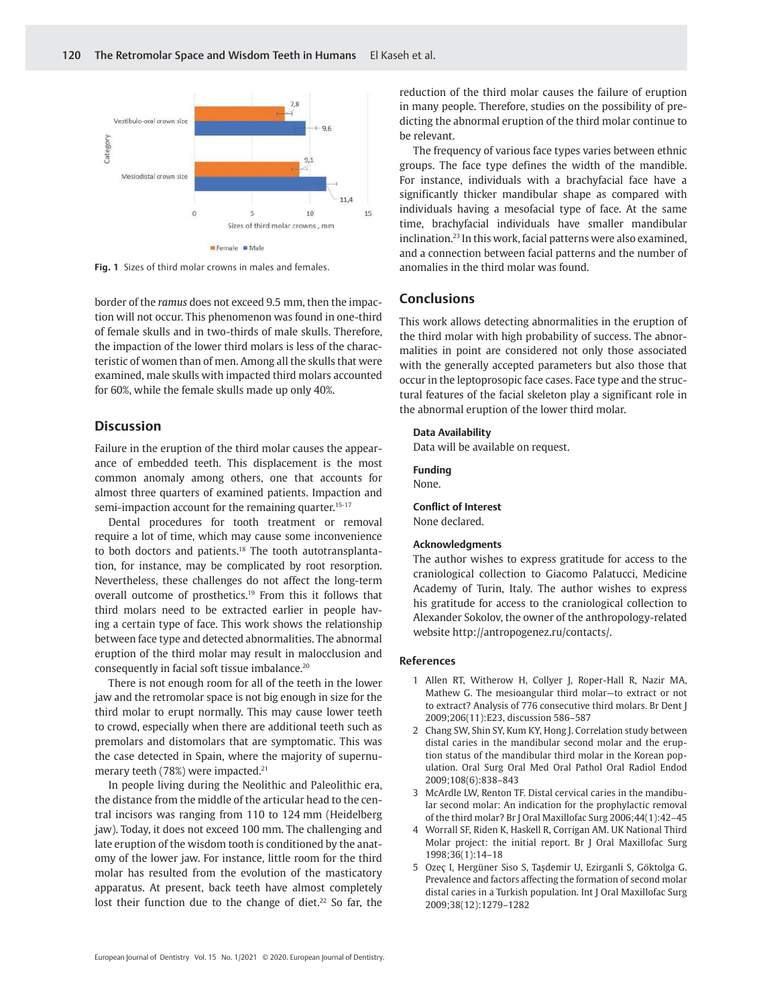

**Fig. 1** Sizes of third molar crowns in males and females.

border of the *ramus* does not exceed 9.5 mm, then the impaction will not occur. This phenomenon was found in one-third of female skulls and in two-thirds of male skulls. Therefore, the impaction of the lower third molars is less of the characteristic of women than of men. Among all the skulls that were examined, male skulls with impacted third molars accounted for 60%, while the female skulls made up only 40%.

## **Discussion**

Failure in the eruption of the third molar causes the appearance of embedded teeth. This displacement is the most common anomaly among others, one that accounts for almost three quarters of examined patients. Impaction and semi-impaction account for the remaining quarter.<sup>15-17</sup>

Dental procedures for tooth treatment or removal require a lot of time, which may cause some inconvenience to both doctors and patients.<sup>18</sup> The tooth autotransplantation, for instance, may be complicated by root resorption. Nevertheless, these challenges do not affect the long-term overall outcome of prosthetics.<sup>19</sup> From this it follows that third molars need to be extracted earlier in people having a certain type of face. This work shows the relationship between face type and detected abnormalities. The abnormal eruption of the third molar may result in malocclusion and consequently in facial soft tissue imbalance.<sup>20</sup>

There is not enough room for all of the teeth in the lower jaw and the retromolar space is not big enough in size for the third molar to erupt normally. This may cause lower teeth to crowd, especially when there are additional teeth such as premolars and distomolars that are symptomatic. This was the case detected in Spain, where the majority of supernumerary teeth (78%) were impacted.<sup>21</sup>

In people living during the Neolithic and Paleolithic era, the distance from the middle of the articular head to the central incisors was ranging from 110 to 124 mm (Heidelberg jaw). Today, it does not exceed 100 mm. The challenging and late eruption of the wisdom tooth is conditioned by the anatomy of the lower jaw. For instance, little room for the third molar has resulted from the evolution of the masticatory apparatus. At present, back teeth have almost completely lost their function due to the change of diet.<sup>22</sup> So far, the reduction of the third molar causes the failure of eruption in many people. Therefore, studies on the possibility of predicting the abnormal eruption of the third molar continue to be relevant.

The frequency of various face types varies between ethnic groups. The face type defines the width of the mandible. For instance, individuals with a brachyfacial face have a significantly thicker mandibular shape as compared with individuals having a mesofacial type of face. At the same time, brachyfacial individuals have smaller mandibular inclination.<sup>23</sup> In this work, facial patterns were also examined, and a connection between facial patterns and the number of anomalies in the third molar was found.

# **Conclusions**

This work allows detecting abnormalities in the eruption of the third molar with high probability of success. The abnormalities in point are considered not only those associated with the generally accepted parameters but also those that occur in the leptoprosopic face cases. Face type and the structural features of the facial skeleton play a significant role in the abnormal eruption of the lower third molar.

#### **Data Availability**

Data will be available on request.

**Funding** None.

**Conflict of Interest**

None declared.

#### **Acknowledgments**

The author wishes to express gratitude for access to the craniological collection to Giacomo Palatucci, Medicine Academy of Turin, Italy. The author wishes to express his gratitude for access to the craniological collection to Alexander Sokolov, the owner of the anthropology-related website http://antropogenez.ru/contacts/.

### **References**

- 1 Allen RT, Witherow H, Collyer J, Roper-Hall R, Nazir MA, Mathew G. The mesioangular third molar—to extract or not to extract? Analysis of 776 consecutive third molars. Br Dent J 2009;206(11):E23, discussion 586–587
- 2 Chang SW, Shin SY, Kum KY, Hong J. Correlation study between distal caries in the mandibular second molar and the eruption status of the mandibular third molar in the Korean population. Oral Surg Oral Med Oral Pathol Oral Radiol Endod 2009;108(6):838–843
- 3 McArdle LW, Renton TF. Distal cervical caries in the mandibular second molar: An indication for the prophylactic removal of the third molar? Br J Oral Maxillofac Surg 2006;44(1):42–45
- 4 Worrall SF, Riden K, Haskell R, Corrigan AM. UK National Third Molar project: the initial report. Br J Oral Maxillofac Surg 1998;36(1):14–18
- 5 Ozeç I, Hergüner Siso S, Taşdemir U, Ezirganli S, Göktolga G. Prevalence and factors affecting the formation of second molar distal caries in a Turkish population. Int J Oral Maxillofac Surg 2009;38(12):1279–1282